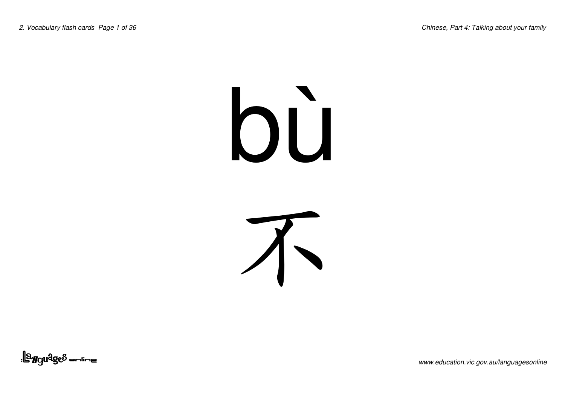### bù



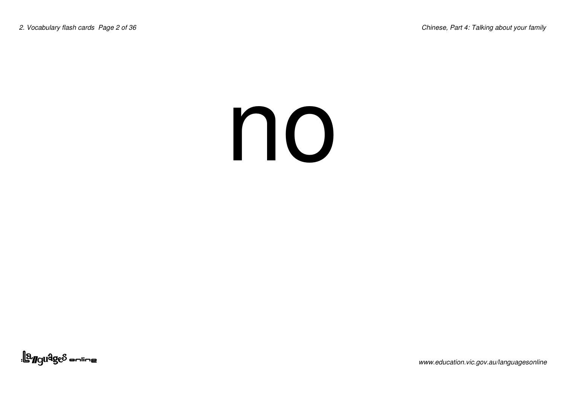#### no

<u>| a Manda</u><br>| a Manda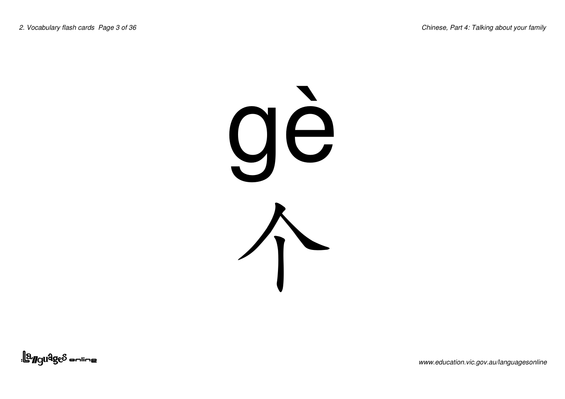

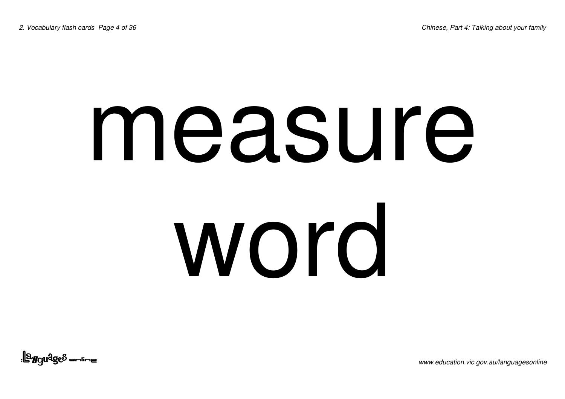### measure word

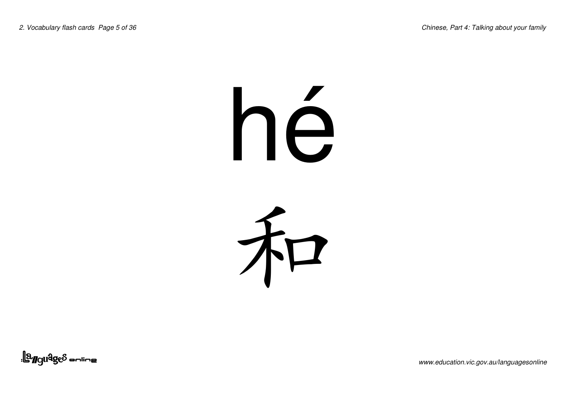### h é



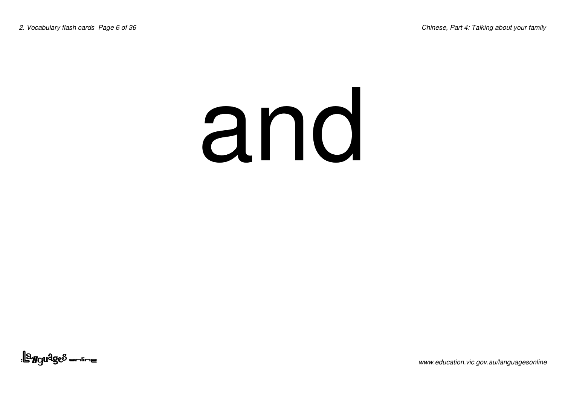#### and

<u>||a<sub>r</sub>guages anline</u>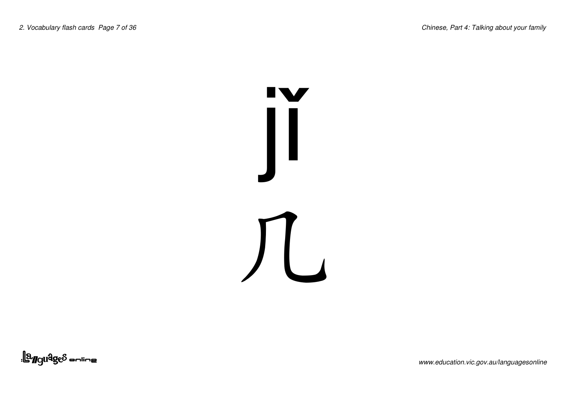

<u>||a gudges anline</u>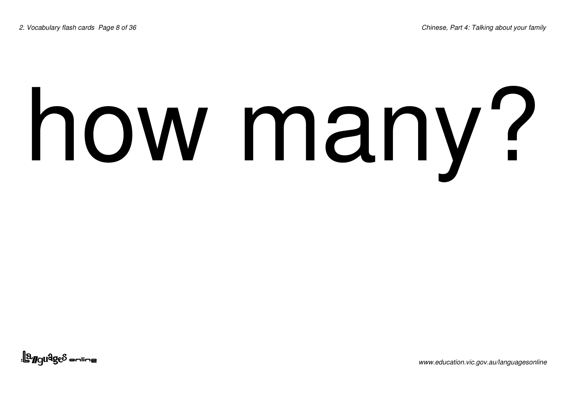# how many?

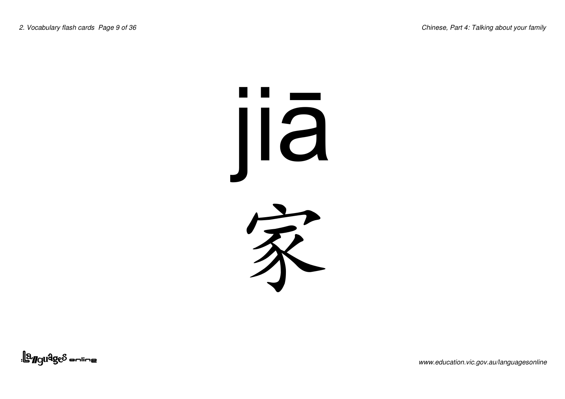#### j iiā 冢

<u>| a Maldges a unius</u>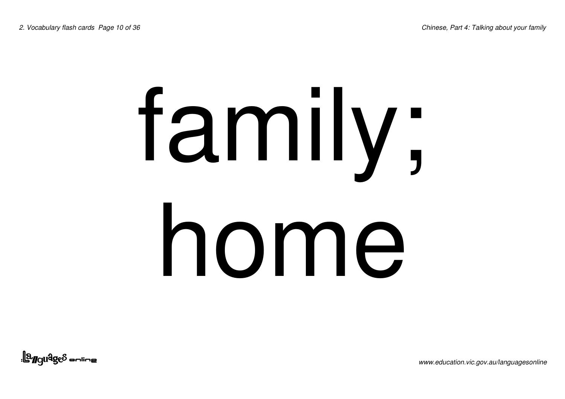### family; home

<u>||a<sub>rgu</sub>qe</u>s <sub>—nine</sub>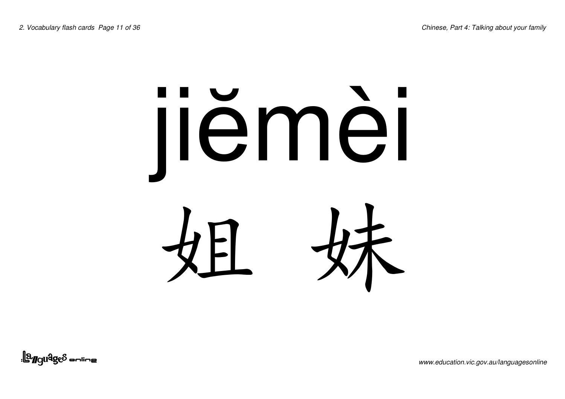## jiëmèi 姐 妹

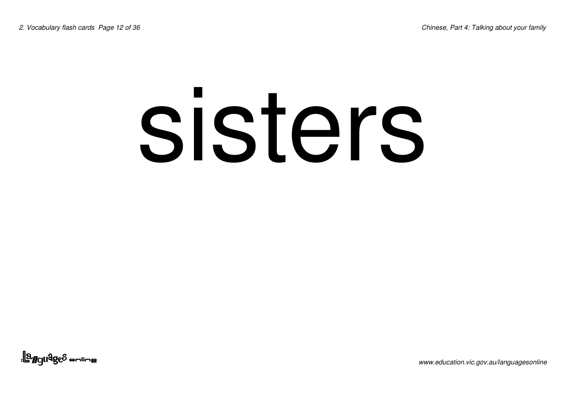#### sisters

<u>||a<sub>r</sub>guages anline</u>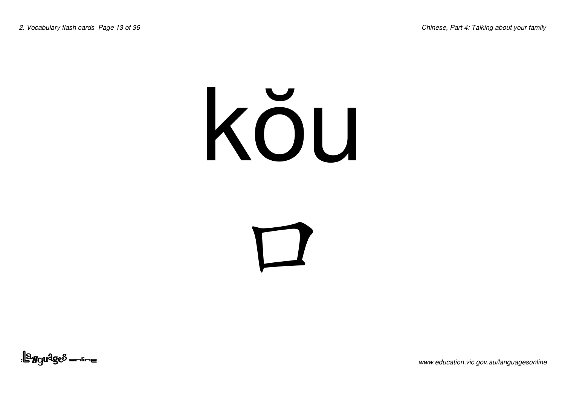#### kŏu

 $\blacksquare$ 

<u>||a<sub>r</sub>guages anline</u>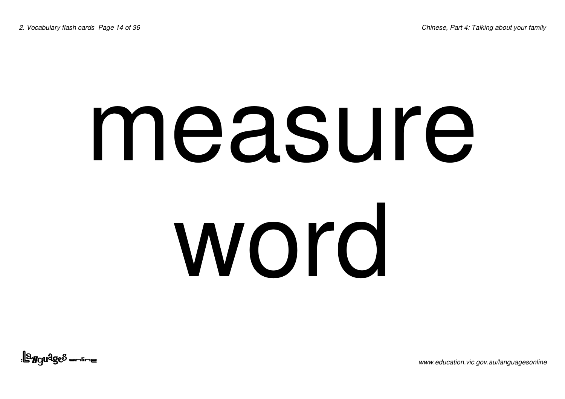### measure word

<u>||a<sub>ngu</sub>qe</u>s sulius|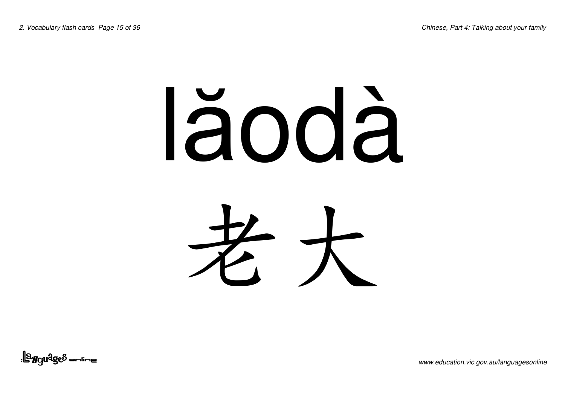### lăodà 老大

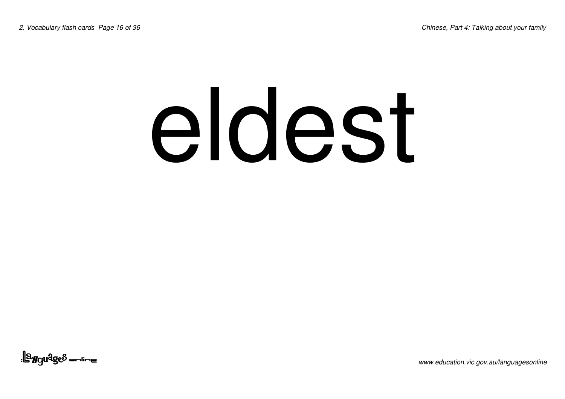#### eldest

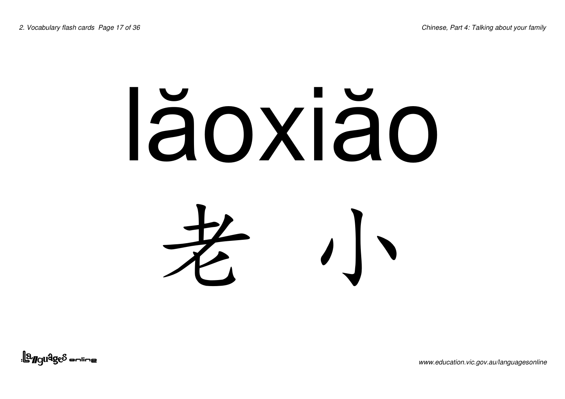#### lăoxiăo 老  $\sqrt{2}$

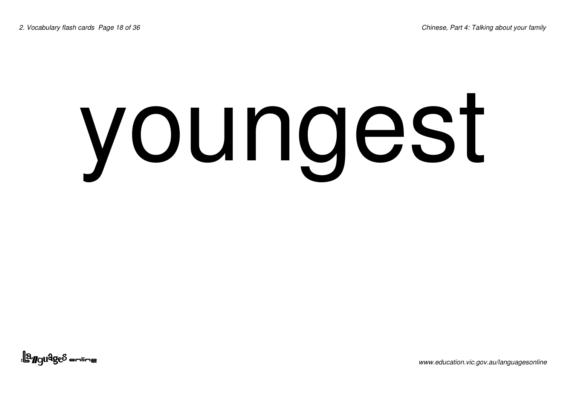### youngest

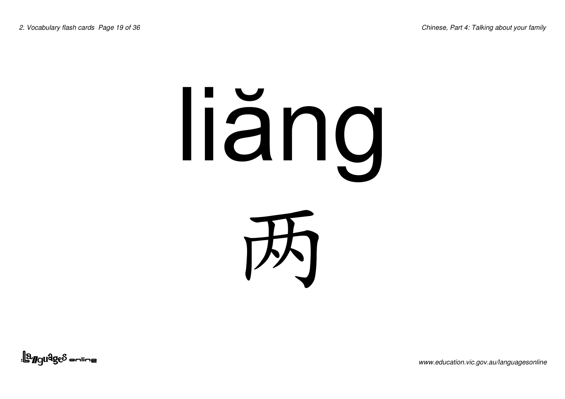# liäng



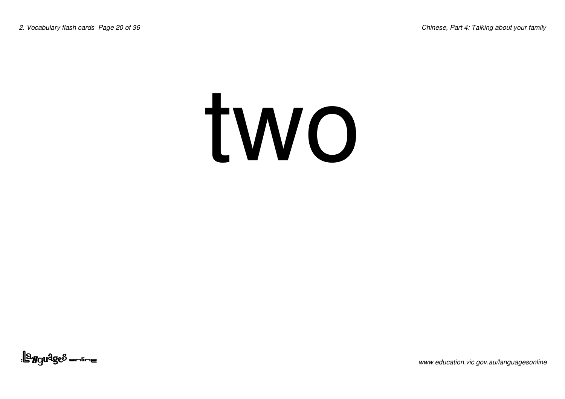#### two

<u>| a Maldges a unius</u>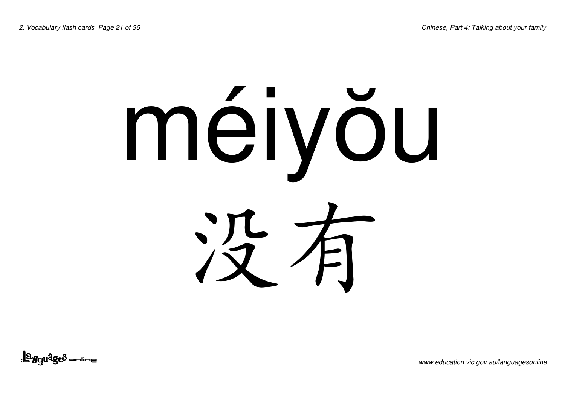## méiyŏu 冷乍

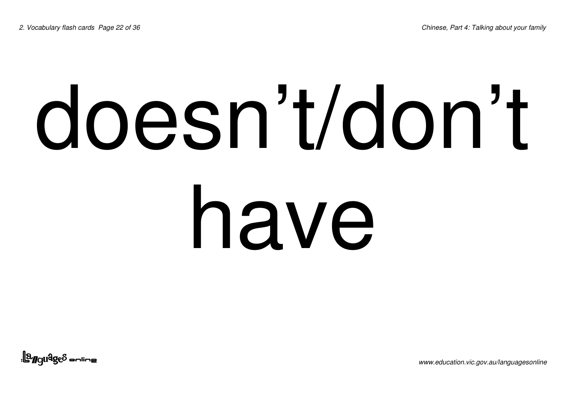#### doesn't/don't have

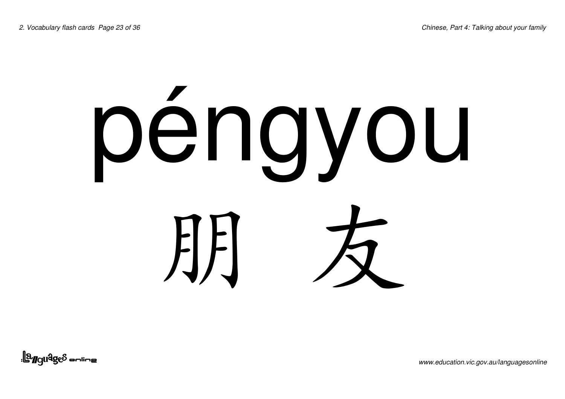### péngyou **JEFI**

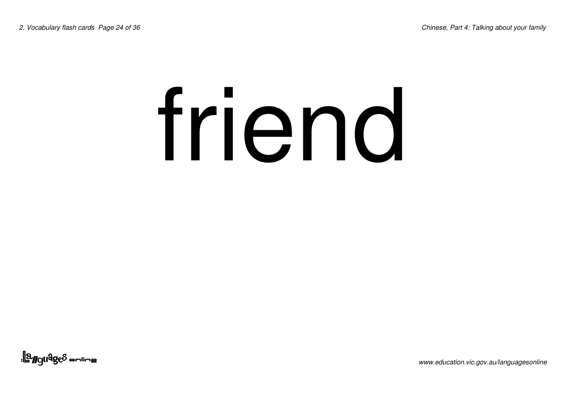### friend

<u>||a<sub>r</sub>guages anline</u>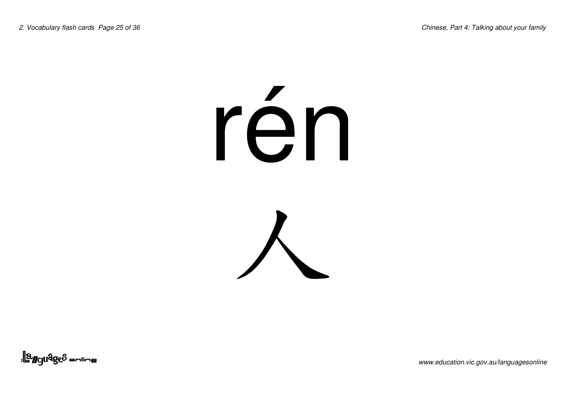### rén



<u>||a<sub>r</sub>guages anline</u>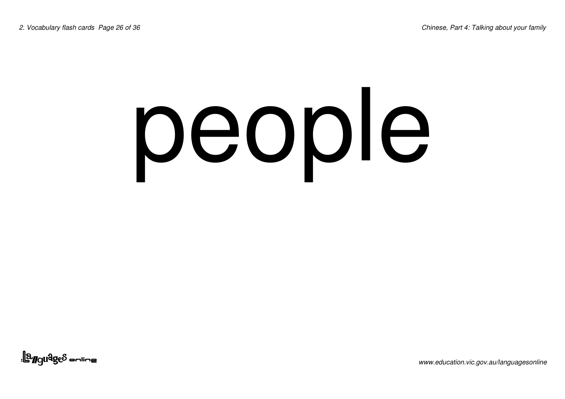### people

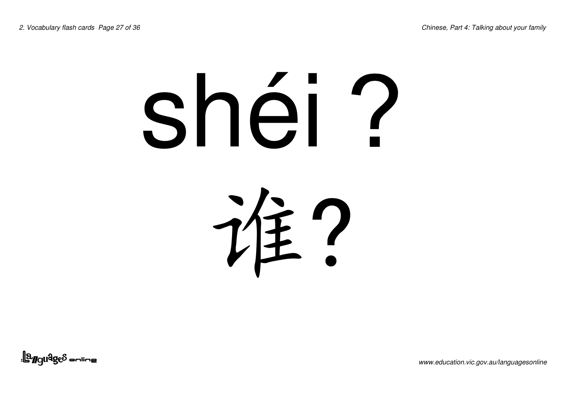### shéi?

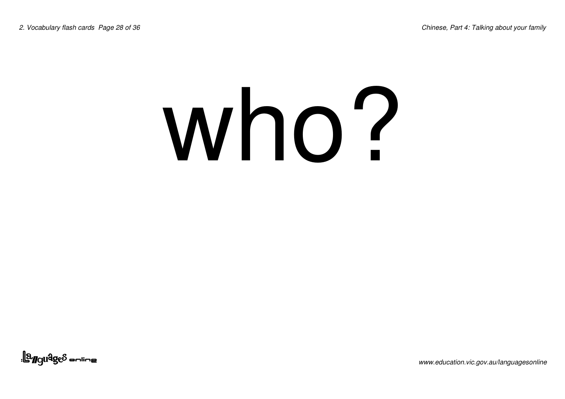#### who?

<u>||a<sub>r</sub>guages anline</u>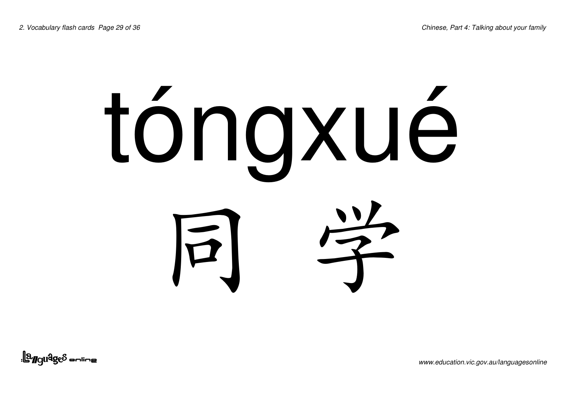# tóngxué 同学

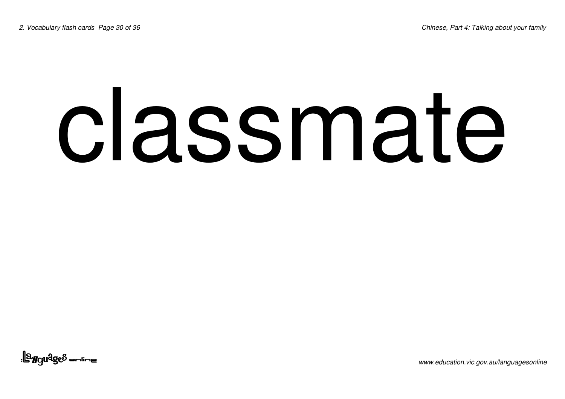### classmate

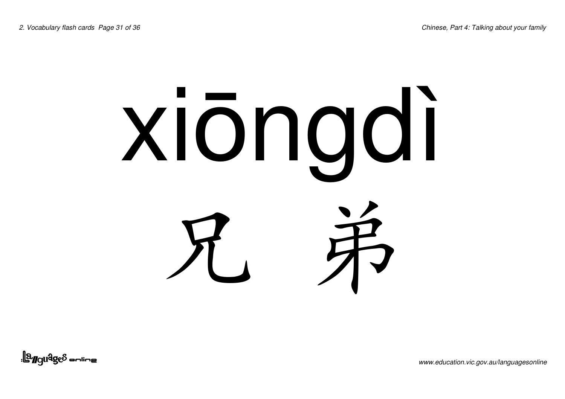## xiōngdi 兄弟

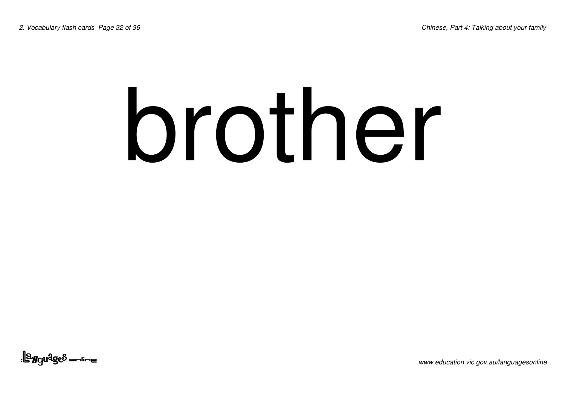#### brother

<u>||a<sub>ngu</sub>qe</u>s sulius|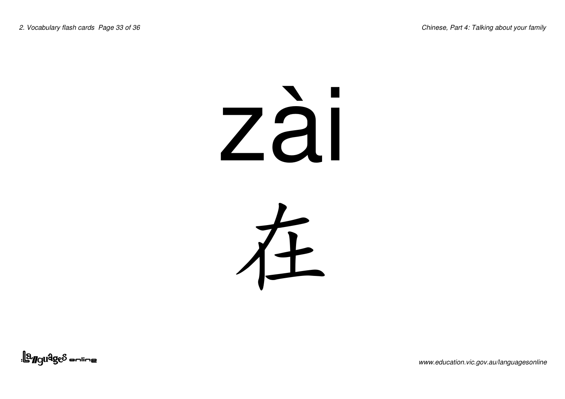### zài 左

<u>||a<sub>r</sub>guages anline</u>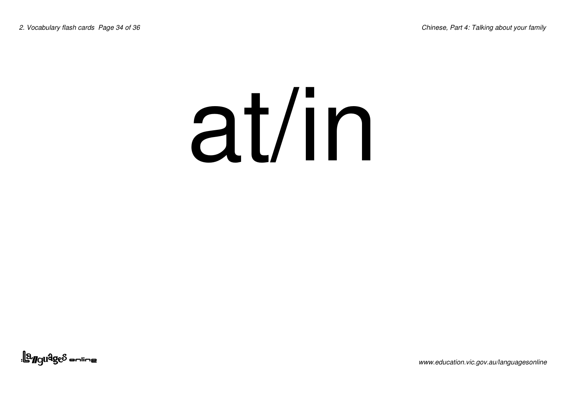#### at/in

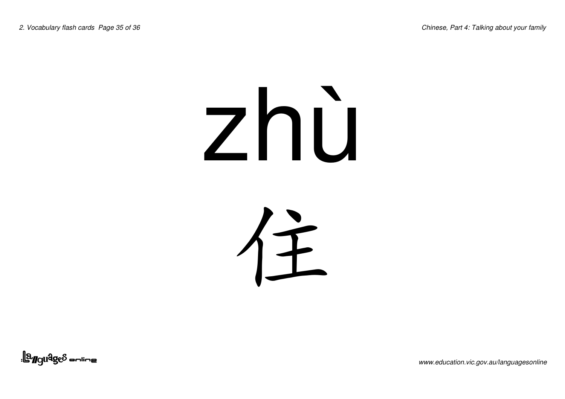### zhù

住